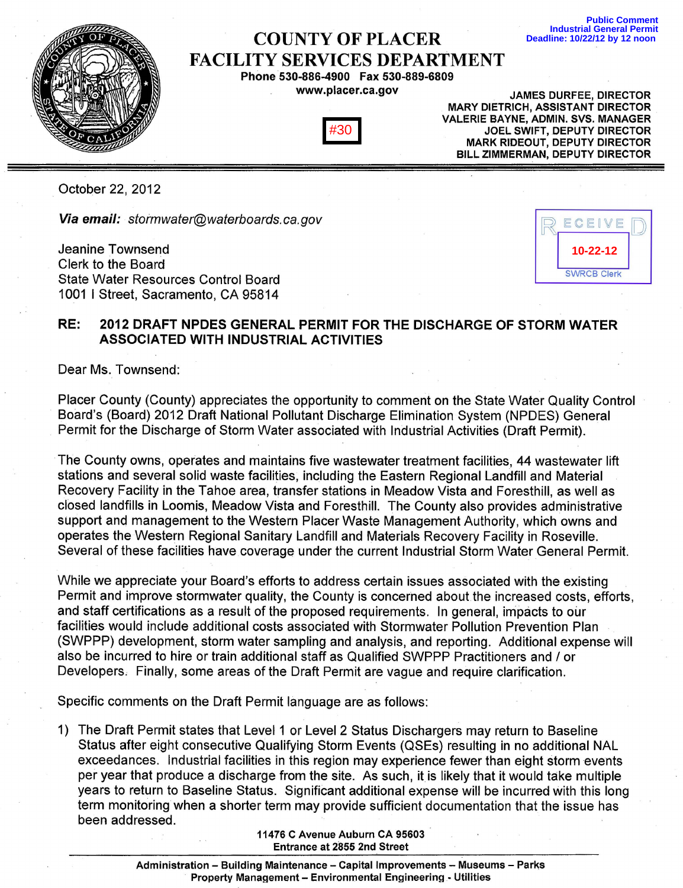## COUNTY OF PLACER FACILITY SERVICES DEPARTMENT

Phone530-886-4900 Fax 530-889-6809 www.placer.ca.gov



JAMES DURFEE, DIRECTOR MARY DIETRICH, ASSISTANT DIRECTOR VALERIE BAYNE, ADMIN. SVS. MANAGER JOEL SWIFT, DEPUTY DIRECTOR MARK RIDEOUT, DEPUTY DIRECTOR BILL ZIMMERMAN, DEPUTY DIRECTOR

October 22, 2012

Via email: stormwater@waterboards.ca.gov

Jeanine Townsend Clerk to the Board State Water Resources Control Board 1001 I Street, Sacramento, CA 95814



**Public Comment Industrial General Permit Deadline: 10/22/12 by 12 noon** 

## RE: 2012 DRAFT NPDES GENERAL PERMIT FOR THE DISCHARGE OF STORM WATER ASSOCIATED WITH INDUSTRIAL ACTIVITIES

Dear Ms. Townsend:

Placer County (County) appreciates the opportunity to comment on the State Water Quality Control Board's (Board) 2012 Draft National Pollutant Discharge Elimination System (NPDES) General Permit for the Discharge of Storm Water associated with Industrial Activities (Draft Permit).

The County owns, operates and maintains five wastewater treatment facilities, 44 wastewater lift stations and several solid waste facilities, including the Eastern Regional Landfill and Material Recovery Facility in the Tahoe area, transfer stations in Meadow Vista and Foresthill, as well as closed landfills in Loomis, Meadow Vista and Foresthill. The County also provides administrative support and management to the Western Placer Waste Management Authority, which owns and operates the Western Regional Sanitary Landfill and Materials Recovery Facility in Roseville. Several of these facilities have coverage under the current Industrial Storm Water General Permit.

While we appreciate your Board's efforts to address certain issues associated with the existing Permit and improve stormwater quality, the County is concerned about the increased costs, efforts, and staff certifications as a result of the proposed requirements. In general, impacts to our facilities would include additional costs associated with Stormwater Pollution Prevention Plan (SWPPP) development, storm water sampling and analysis, and reporting. Additional expense will also be incurred to hire or train additional staff as Qualified SWPPP Practitioners and / or Developers, Finally, some areas of the Draft Permit are vague and require clarification.

Specific comments on the Draft Permit language are as follows:

1) The Draft Permit states that Level 1 or Level 2 Status Dischargers may return to Baseline Status after eight consecutive Qualifying Storm Events (QSEs) resulting in no additional NAL exceedances. Industrial facilities in this region may experience fewer than eight storm events per year that produce a discharge from the site. As such, it is likely that it would take multiple years to return to Baseline Status. Significant additional expense will be incurred with this long term monitoring when a shorter term may provide sufficient documentation that the issue has been addressed. **Example 19 The Secure Constant Constant Constant Constant Constant Constant Constant<br>
Property Management - Environmental Constant Constant Constant Constant Constant Constant National Policy of Software Constant National** 

11476 C Avenue Auburn CA 95603 Entrance at 2855 2nd Street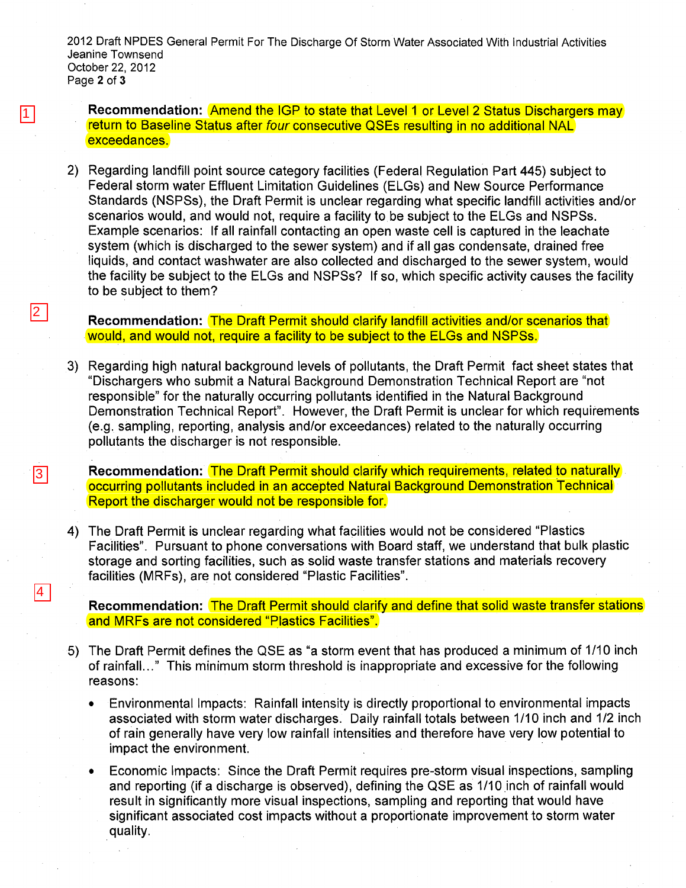2012 Draft NPDES General Permit For The Discharge Of Storm Water Associated With Industrial Activities Jeanine Townsend October 22,2012 Page 2 of 3

1

2

 $\overline{3}$ 

4

Recommendation: **Amend the IGP to state that Level 1 or Level 2 Status Dischargers may** return to Baseline Status after four consecutive QSEs resulting in no additional NAL exceedances.

2) Regarding landfill point source category facilities (Federal Regulation Part 445) subject to Federal storm water Effluent Limitation Guidelines (ELGs) and New Source Performance Standards (NSPSs), the Draft Permit is unclear regarding what specific landfill activities and/or scenarios would, and would not, require a facility to be subject to the ELGs and NSPSs. Example scenarios: If all rainfall contacting an open waste cell is captured in the leachate system (which is discharged to the sewer system) and if all gas condensate, drained free liquids, and contact washwater are also collected and discharged to the sewer system, would the facility be subject to the ELGs and NSPSs? If so, which specific activity causes the facility to be subject to them?

**Recommendation:** The Draft Permit should clarify landfill activities and/or scenarios that WOUld, and would not, require a facility to be subject to the ELGs and NSPSs.

3) Regarding high natural background levels of pollutants, the Draft Permit fact sheet states that "Dischargers who submit a Natural Background Demonstration Technical Report are "not responsible" for the naturally occurring pollutants identified in the Natural Background Demonstration Technical Report". However, the Draft Permit is unclear for which requirements (e.g. sampling, reporting, analysis and/or exceedances) related to the naturally occurring pollutants the discharger is not responsible.

**Recommendation:** The Draft Permit should clarify which requirements, related to naturally occurring pollutants included in an accepted Natural Background Demonstration Technical Report the discharger would not be responsible for.

4) The Draft Permit is unclear regarding what facilities would not be considered "Plastics Facilities". Pursuant to phone conversations with Board staff, we understand that bulk plastic storage and sorting facilities, such as solid waste transfer stations and materials recovery facilities (MRFs), are not considered "Plastic Facilities".

**Recommendation:** The Draft Permit should clarify and define that solid waste transfer stations and MRFs are not considered "Plastics Facilities".

- 5) The Draft Permit defines the QSE as "a storm event that has produced a minimum of 1/10 inch of rainfall..." This minimum storm threshold is inappropriate and excessive for the following reasons:
	- Environmental Impacts: Rainfall intensity is directly proportional to environmental impacts associated with storm water discharges. Daily rainfall totals between 1/10 inch and 1/2 inch of rain generally have very low rainfall intensities and therefore have very low potential to impact the environment.
	- Economic Impacts: Since the Draft Permit requires pre-storm visual inspections, sampling and reporting (if a discharge is observed), defining the QSE as 1/10 inch of rainfall would result in significantly more visual inspections, sampling and reporting that would have significant associated cost impacts without a proportionate improvement to storm water quality.